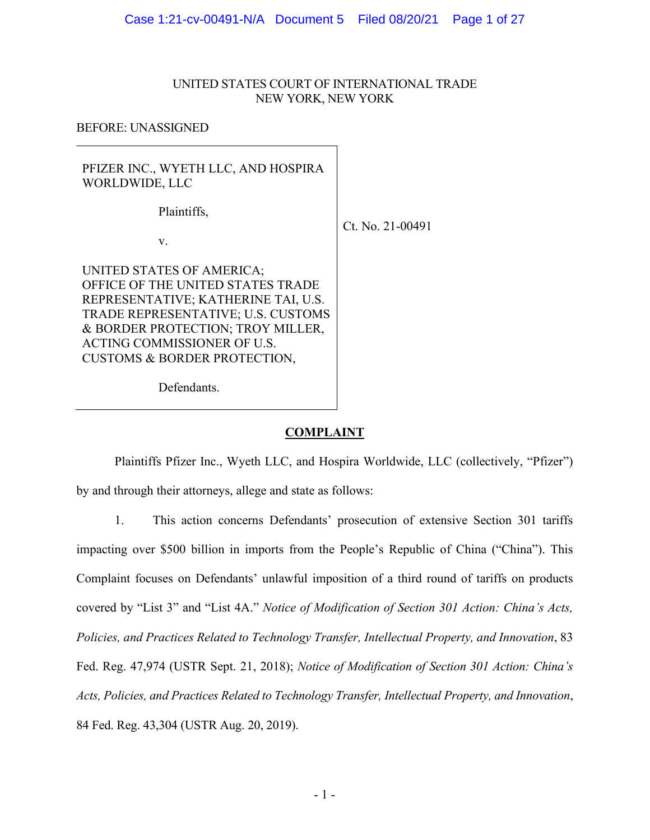# UNITED STATES COURT OF INTERNATIONAL TRADE NEW YORK, NEW YORK

BEFORE: UNASSIGNED

PFIZER INC., WYETH LLC, AND HOSPIRA WORLDWIDE, LLC

Plaintiffs,

v.

Ct. No. 21-00491

UNITED STATES OF AMERICA; OFFICE OF THE UNITED STATES TRADE REPRESENTATIVE; KATHERINE TAI, U.S. TRADE REPRESENTATIVE; U.S. CUSTOMS & BORDER PROTECTION; TROY MILLER, ACTING COMMISSIONER OF U.S. CUSTOMS & BORDER PROTECTION,

Defendants.

# **COMPLAINT**

Plaintiffs Pfizer Inc., Wyeth LLC, and Hospira Worldwide, LLC (collectively, "Pfizer") by and through their attorneys, allege and state as follows:

1. This action concerns Defendants' prosecution of extensive Section 301 tariffs impacting over \$500 billion in imports from the People's Republic of China ("China"). This Complaint focuses on Defendants' unlawful imposition of a third round of tariffs on products covered by "List 3" and "List 4A." *Notice of Modification of Section 301 Action: China's Acts, Policies, and Practices Related to Technology Transfer, Intellectual Property, and Innovation*, 83 Fed. Reg. 47,974 (USTR Sept. 21, 2018); *Notice of Modification of Section 301 Action: China's Acts, Policies, and Practices Related to Technology Transfer, Intellectual Property, and Innovation*, 84 Fed. Reg. 43,304 (USTR Aug. 20, 2019).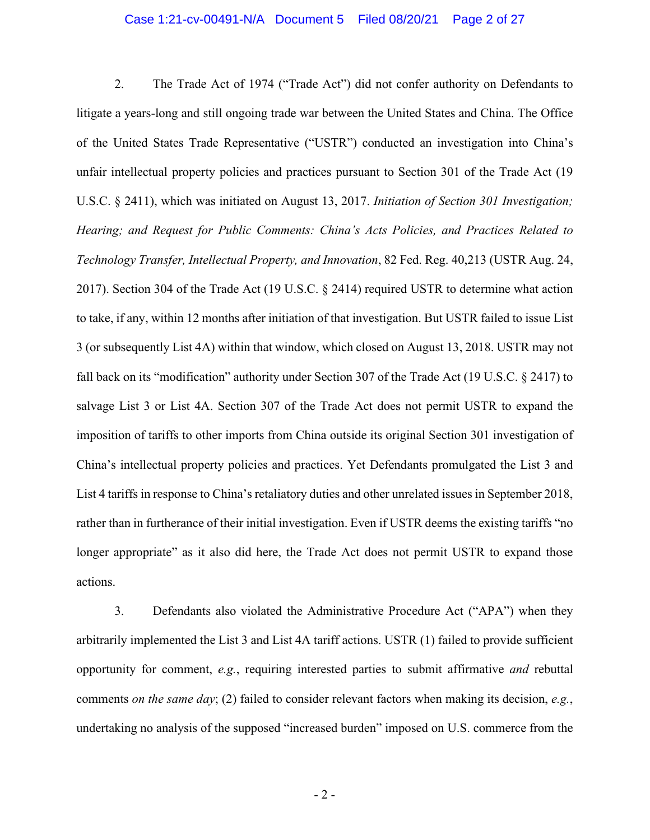2. The Trade Act of 1974 ("Trade Act") did not confer authority on Defendants to litigate a years-long and still ongoing trade war between the United States and China. The Office of the United States Trade Representative ("USTR") conducted an investigation into China's unfair intellectual property policies and practices pursuant to Section 301 of the Trade Act (19 U.S.C. § 2411), which was initiated on August 13, 2017. *Initiation of Section 301 Investigation; Hearing; and Request for Public Comments: China's Acts Policies, and Practices Related to Technology Transfer, Intellectual Property, and Innovation*, 82 Fed. Reg. 40,213 (USTR Aug. 24, 2017). Section 304 of the Trade Act (19 U.S.C. § 2414) required USTR to determine what action to take, if any, within 12 months after initiation of that investigation. But USTR failed to issue List 3 (or subsequently List 4A) within that window, which closed on August 13, 2018. USTR may not fall back on its "modification" authority under Section 307 of the Trade Act (19 U.S.C. § 2417) to salvage List 3 or List 4A. Section 307 of the Trade Act does not permit USTR to expand the imposition of tariffs to other imports from China outside its original Section 301 investigation of China's intellectual property policies and practices. Yet Defendants promulgated the List 3 and List 4 tariffs in response to China's retaliatory duties and other unrelated issues in September 2018, rather than in furtherance of their initial investigation. Even if USTR deems the existing tariffs "no longer appropriate" as it also did here, the Trade Act does not permit USTR to expand those actions.

3. Defendants also violated the Administrative Procedure Act ("APA") when they arbitrarily implemented the List 3 and List 4A tariff actions. USTR (1) failed to provide sufficient opportunity for comment, *e.g.*, requiring interested parties to submit affirmative *and* rebuttal comments *on the same day*; (2) failed to consider relevant factors when making its decision, *e.g.*, undertaking no analysis of the supposed "increased burden" imposed on U.S. commerce from the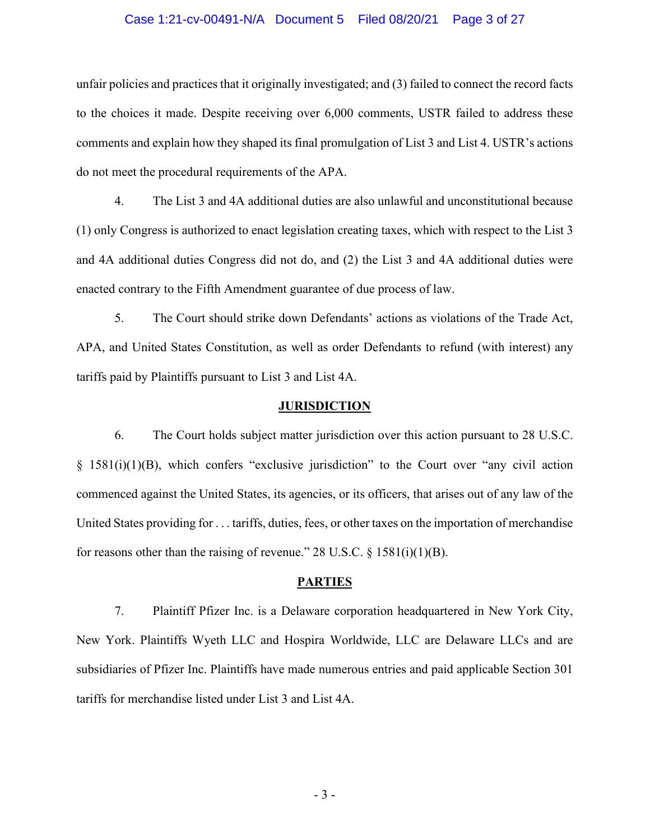#### Case 1:21-cv-00491-N/A Document 5 Filed 08/20/21 Page 3 of 27

unfair policies and practices that it originally investigated; and (3) failed to connect the record facts to the choices it made. Despite receiving over 6,000 comments, USTR failed to address these comments and explain how they shaped its final promulgation of List 3 and List 4. USTR's actions do not meet the procedural requirements of the APA.

4. The List 3 and 4A additional duties are also unlawful and unconstitutional because (1) only Congress is authorized to enact legislation creating taxes, which with respect to the List 3 and 4A additional duties Congress did not do, and (2) the List 3 and 4A additional duties were enacted contrary to the Fifth Amendment guarantee of due process of law.

5. The Court should strike down Defendants' actions as violations of the Trade Act, APA, and United States Constitution, as well as order Defendants to refund (with interest) any tariffs paid by Plaintiffs pursuant to List 3 and List 4A.

#### **JURISDICTION**

6. The Court holds subject matter jurisdiction over this action pursuant to 28 U.S.C. § 1581(i)(1)(B), which confers "exclusive jurisdiction" to the Court over "any civil action commenced against the United States, its agencies, or its officers, that arises out of any law of the United States providing for . . . tariffs, duties, fees, or other taxes on the importation of merchandise for reasons other than the raising of revenue." 28 U.S.C.  $\S$  1581(i)(1)(B).

#### **PARTIES**

7. Plaintiff Pfizer Inc. is a Delaware corporation headquartered in New York City, New York. Plaintiffs Wyeth LLC and Hospira Worldwide, LLC are Delaware LLCs and are subsidiaries of Pfizer Inc. Plaintiffs have made numerous entries and paid applicable Section 301 tariffs for merchandise listed under List 3 and List 4A.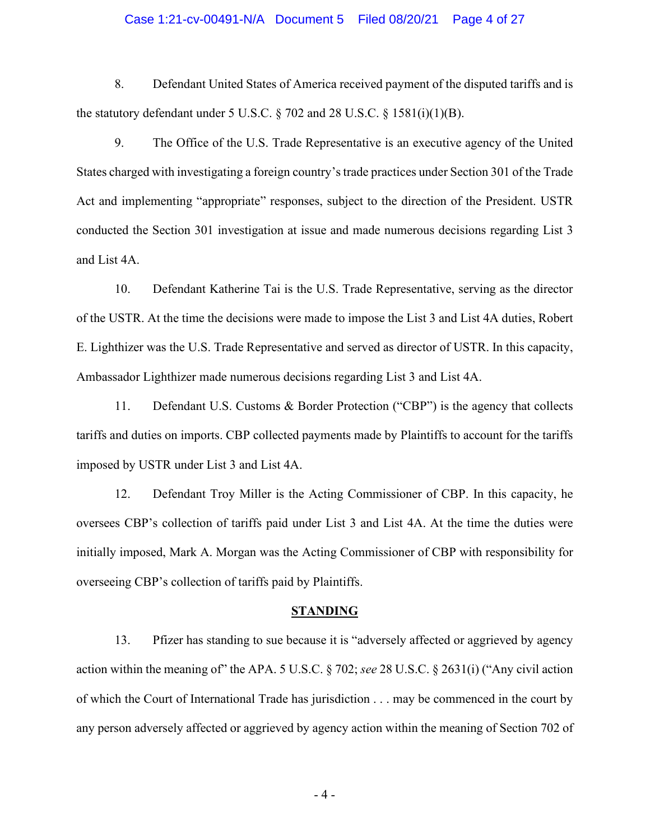#### Case 1:21-cv-00491-N/A Document 5 Filed 08/20/21 Page 4 of 27

8. Defendant United States of America received payment of the disputed tariffs and is the statutory defendant under 5 U.S.C.  $\S$  702 and 28 U.S.C.  $\S$  1581(i)(1)(B).

9. The Office of the U.S. Trade Representative is an executive agency of the United States charged with investigating a foreign country's trade practices under Section 301 of the Trade Act and implementing "appropriate" responses, subject to the direction of the President. USTR conducted the Section 301 investigation at issue and made numerous decisions regarding List 3 and List 4A.

10. Defendant Katherine Tai is the U.S. Trade Representative, serving as the director of the USTR. At the time the decisions were made to impose the List 3 and List 4A duties, Robert E. Lighthizer was the U.S. Trade Representative and served as director of USTR. In this capacity, Ambassador Lighthizer made numerous decisions regarding List 3 and List 4A.

11. Defendant U.S. Customs & Border Protection ("CBP") is the agency that collects tariffs and duties on imports. CBP collected payments made by Plaintiffs to account for the tariffs imposed by USTR under List 3 and List 4A.

12. Defendant Troy Miller is the Acting Commissioner of CBP. In this capacity, he oversees CBP's collection of tariffs paid under List 3 and List 4A. At the time the duties were initially imposed, Mark A. Morgan was the Acting Commissioner of CBP with responsibility for overseeing CBP's collection of tariffs paid by Plaintiffs.

#### **STANDING**

13. Pfizer has standing to sue because it is "adversely affected or aggrieved by agency action within the meaning of" the APA. 5 U.S.C. § 702; *see* 28 U.S.C. § 2631(i) ("Any civil action of which the Court of International Trade has jurisdiction . . . may be commenced in the court by any person adversely affected or aggrieved by agency action within the meaning of Section 702 of

- 4 -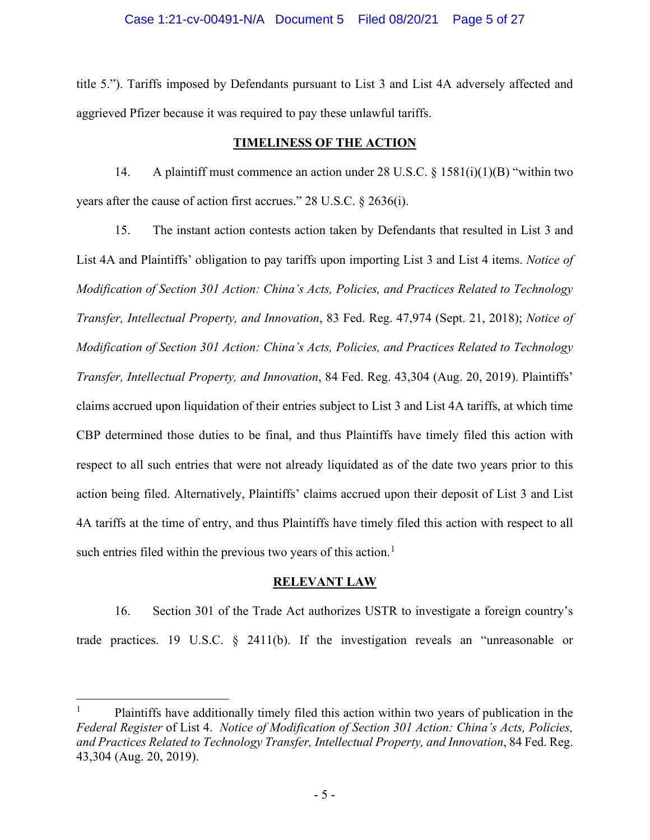title 5."). Tariffs imposed by Defendants pursuant to List 3 and List 4A adversely affected and aggrieved Pfizer because it was required to pay these unlawful tariffs.

# **TIMELINESS OF THE ACTION**

14. A plaintiff must commence an action under 28 U.S.C. § 1581(i)(1)(B) "within two years after the cause of action first accrues." 28 U.S.C. § 2636(i).

15. The instant action contests action taken by Defendants that resulted in List 3 and List 4A and Plaintiffs' obligation to pay tariffs upon importing List 3 and List 4 items. *Notice of Modification of Section 301 Action: China's Acts, Policies, and Practices Related to Technology Transfer, Intellectual Property, and Innovation*, 83 Fed. Reg. 47,974 (Sept. 21, 2018); *Notice of Modification of Section 301 Action: China's Acts, Policies, and Practices Related to Technology Transfer, Intellectual Property, and Innovation*, 84 Fed. Reg. 43,304 (Aug. 20, 2019). Plaintiffs' claims accrued upon liquidation of their entries subject to List 3 and List 4A tariffs, at which time CBP determined those duties to be final, and thus Plaintiffs have timely filed this action with respect to all such entries that were not already liquidated as of the date two years prior to this action being filed. Alternatively, Plaintiffs' claims accrued upon their deposit of List 3 and List 4A tariffs at the time of entry, and thus Plaintiffs have timely filed this action with respect to all such entries filed within the previous two years of this action.<sup>[1](#page-4-0)</sup>

# **RELEVANT LAW**

16. Section 301 of the Trade Act authorizes USTR to investigate a foreign country's trade practices. 19 U.S.C. § 2411(b). If the investigation reveals an "unreasonable or

<span id="page-4-0"></span><sup>1</sup> Plaintiffs have additionally timely filed this action within two years of publication in the *Federal Register* of List 4. *Notice of Modification of Section 301 Action: China's Acts, Policies, and Practices Related to Technology Transfer, Intellectual Property, and Innovation*, 84 Fed. Reg. 43,304 (Aug. 20, 2019).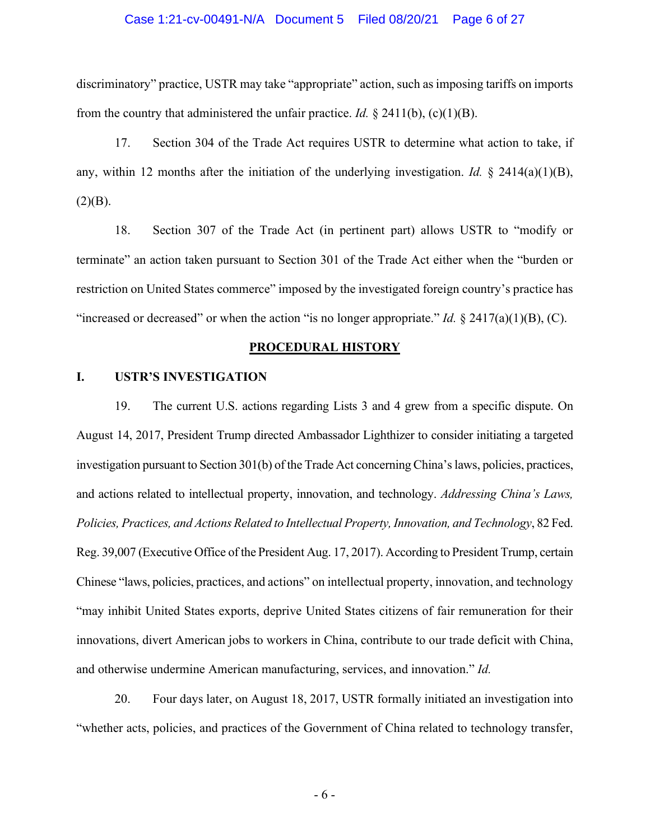#### Case 1:21-cv-00491-N/A Document 5 Filed 08/20/21 Page 6 of 27

discriminatory" practice, USTR may take "appropriate" action, such as imposing tariffs on imports from the country that administered the unfair practice. *Id.* § 2411(b), (c)(1)(B).

17. Section 304 of the Trade Act requires USTR to determine what action to take, if any, within 12 months after the initiation of the underlying investigation. *Id.* § 2414(a)(1)(B),  $(2)(B).$ 

18. Section 307 of the Trade Act (in pertinent part) allows USTR to "modify or terminate" an action taken pursuant to Section 301 of the Trade Act either when the "burden or restriction on United States commerce" imposed by the investigated foreign country's practice has "increased or decreased" or when the action "is no longer appropriate." *Id.* § 2417(a)(1)(B), (C).

#### **PROCEDURAL HISTORY**

# **I. USTR'S INVESTIGATION**

19. The current U.S. actions regarding Lists 3 and 4 grew from a specific dispute. On August 14, 2017, President Trump directed Ambassador Lighthizer to consider initiating a targeted investigation pursuant to Section 301(b) of the Trade Act concerning China's laws, policies, practices, and actions related to intellectual property, innovation, and technology. *Addressing China's Laws, Policies, Practices, and Actions Related to Intellectual Property, Innovation, and Technology*, 82 Fed. Reg. 39,007 (Executive Office of the President Aug. 17, 2017). According to President Trump, certain Chinese "laws, policies, practices, and actions" on intellectual property, innovation, and technology "may inhibit United States exports, deprive United States citizens of fair remuneration for their innovations, divert American jobs to workers in China, contribute to our trade deficit with China, and otherwise undermine American manufacturing, services, and innovation." *Id.*

20. Four days later, on August 18, 2017, USTR formally initiated an investigation into "whether acts, policies, and practices of the Government of China related to technology transfer,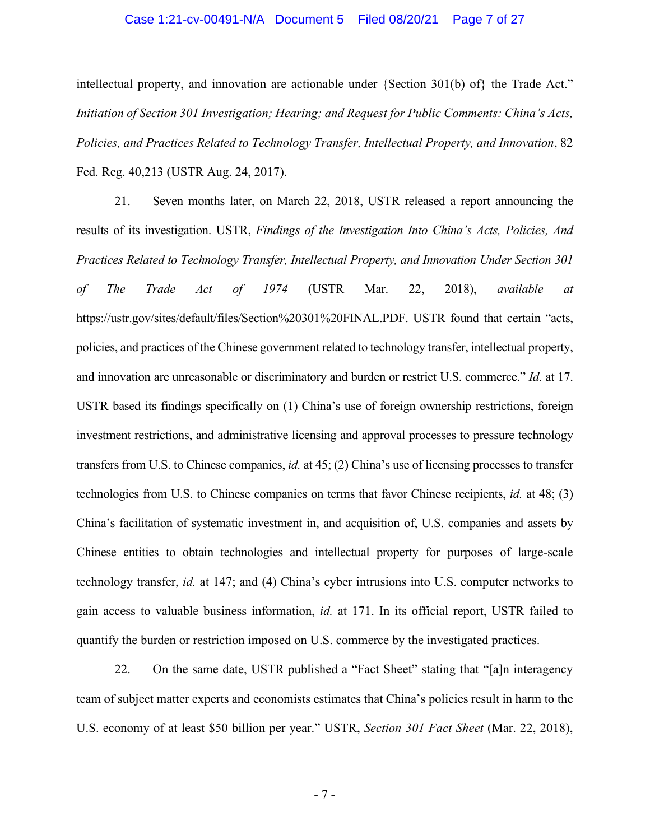#### Case 1:21-cv-00491-N/A Document 5 Filed 08/20/21 Page 7 of 27

intellectual property, and innovation are actionable under {Section 301(b) of} the Trade Act." *Initiation of Section 301 Investigation; Hearing; and Request for Public Comments: China's Acts, Policies, and Practices Related to Technology Transfer, Intellectual Property, and Innovation*, 82 Fed. Reg. 40,213 (USTR Aug. 24, 2017).

21. Seven months later, on March 22, 2018, USTR released a report announcing the results of its investigation. USTR, *Findings of the Investigation Into China's Acts, Policies, And Practices Related to Technology Transfer, Intellectual Property, and Innovation Under Section 301 of The Trade Act of 1974* (USTR Mar. 22, 2018), *available at*  https://ustr.gov/sites/default/files/Section%20301%20FINAL.PDF. USTR found that certain "acts, policies, and practices of the Chinese government related to technology transfer, intellectual property, and innovation are unreasonable or discriminatory and burden or restrict U.S. commerce." *Id.* at 17. USTR based its findings specifically on (1) China's use of foreign ownership restrictions, foreign investment restrictions, and administrative licensing and approval processes to pressure technology transfers from U.S. to Chinese companies, *id.* at 45; (2) China's use of licensing processes to transfer technologies from U.S. to Chinese companies on terms that favor Chinese recipients, *id.* at 48; (3) China's facilitation of systematic investment in, and acquisition of, U.S. companies and assets by Chinese entities to obtain technologies and intellectual property for purposes of large-scale technology transfer, *id.* at 147; and (4) China's cyber intrusions into U.S. computer networks to gain access to valuable business information, *id.* at 171. In its official report, USTR failed to quantify the burden or restriction imposed on U.S. commerce by the investigated practices.

22. On the same date, USTR published a "Fact Sheet" stating that "[a]n interagency team of subject matter experts and economists estimates that China's policies result in harm to the U.S. economy of at least \$50 billion per year." USTR, *Section 301 Fact Sheet* (Mar. 22, 2018),

- 7 -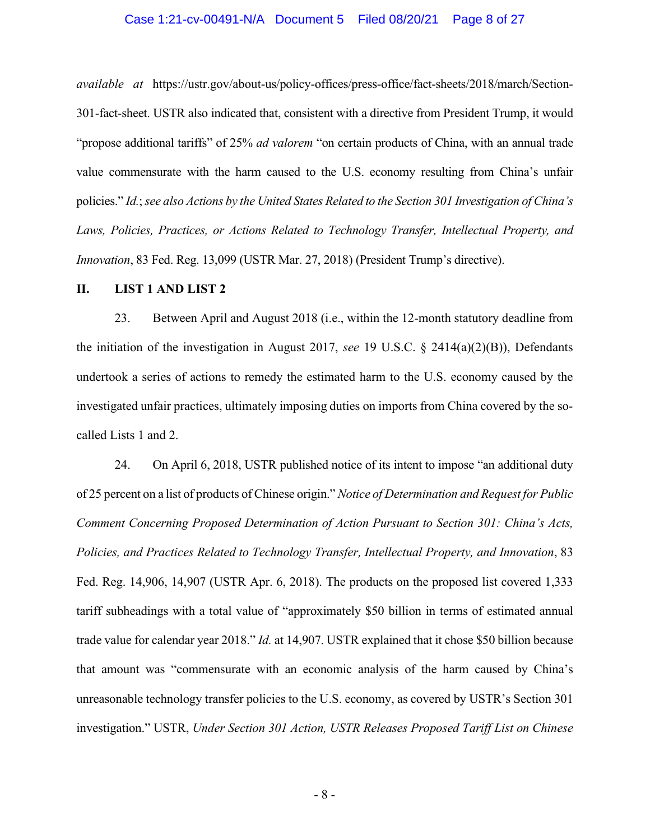#### Case 1:21-cv-00491-N/A Document 5 Filed 08/20/21 Page 8 of 27

*available at* https://ustr.gov/about-us/policy-offices/press-office/fact-sheets/2018/march/Section-301-fact-sheet. USTR also indicated that, consistent with a directive from President Trump, it would "propose additional tariffs" of 25% *ad valorem* "on certain products of China, with an annual trade value commensurate with the harm caused to the U.S. economy resulting from China's unfair policies." *Id.*; *see also Actions by the United States Related to the Section 301 Investigation of China's Laws, Policies, Practices, or Actions Related to Technology Transfer, Intellectual Property, and Innovation*, 83 Fed. Reg. 13,099 (USTR Mar. 27, 2018) (President Trump's directive).

#### **II. LIST 1 AND LIST 2**

23. Between April and August 2018 (i.e., within the 12-month statutory deadline from the initiation of the investigation in August 2017, *see* 19 U.S.C. § 2414(a)(2)(B)), Defendants undertook a series of actions to remedy the estimated harm to the U.S. economy caused by the investigated unfair practices, ultimately imposing duties on imports from China covered by the socalled Lists 1 and 2.

24. On April 6, 2018, USTR published notice of its intent to impose "an additional duty of 25 percent on a list of products of Chinese origin." *Notice of Determination and Request for Public Comment Concerning Proposed Determination of Action Pursuant to Section 301: China's Acts, Policies, and Practices Related to Technology Transfer, Intellectual Property, and Innovation*, 83 Fed. Reg. 14,906, 14,907 (USTR Apr. 6, 2018). The products on the proposed list covered 1,333 tariff subheadings with a total value of "approximately \$50 billion in terms of estimated annual trade value for calendar year 2018." *Id.* at 14,907. USTR explained that it chose \$50 billion because that amount was "commensurate with an economic analysis of the harm caused by China's unreasonable technology transfer policies to the U.S. economy, as covered by USTR's Section 301 investigation." USTR, *Under Section 301 Action, USTR Releases Proposed Tariff List on Chinese*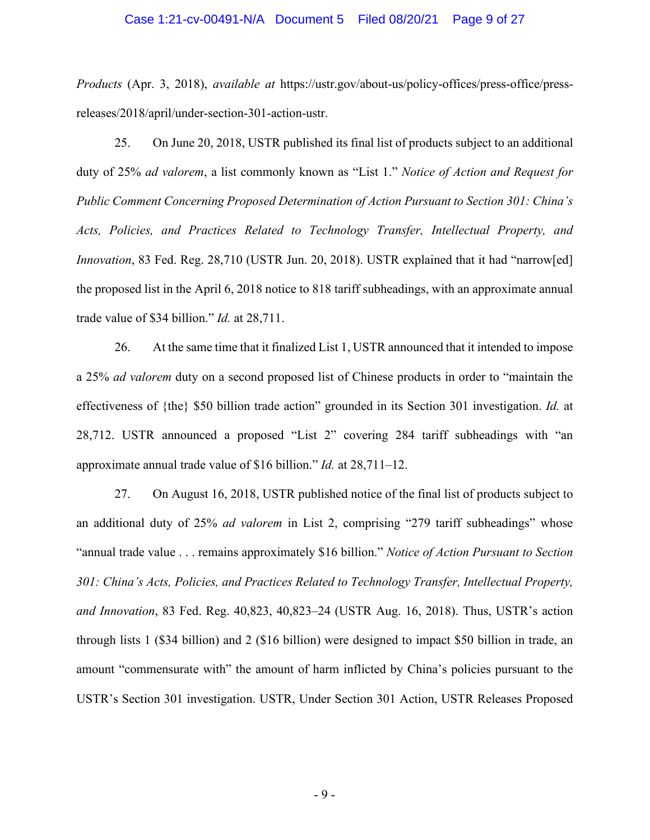#### Case 1:21-cv-00491-N/A Document 5 Filed 08/20/21 Page 9 of 27

*Products* (Apr. 3, 2018), *available at* https://ustr.gov/about-us/policy-offices/press-office/pressreleases/2018/april/under-section-301-action-ustr.

25. On June 20, 2018, USTR published its final list of products subject to an additional duty of 25% *ad valorem*, a list commonly known as "List 1." *Notice of Action and Request for Public Comment Concerning Proposed Determination of Action Pursuant to Section 301: China's Acts, Policies, and Practices Related to Technology Transfer, Intellectual Property, and Innovation*, 83 Fed. Reg. 28,710 (USTR Jun. 20, 2018). USTR explained that it had "narrow[ed] the proposed list in the April 6, 2018 notice to 818 tariff subheadings, with an approximate annual trade value of \$34 billion." *Id.* at 28,711.

26. At the same time that it finalized List 1, USTR announced that it intended to impose a 25% *ad valorem* duty on a second proposed list of Chinese products in order to "maintain the effectiveness of {the} \$50 billion trade action" grounded in its Section 301 investigation. *Id.* at 28,712. USTR announced a proposed "List 2" covering 284 tariff subheadings with "an approximate annual trade value of \$16 billion." *Id.* at 28,711–12.

27. On August 16, 2018, USTR published notice of the final list of products subject to an additional duty of 25% *ad valorem* in List 2, comprising "279 tariff subheadings" whose "annual trade value . . . remains approximately \$16 billion." *Notice of Action Pursuant to Section 301: China's Acts, Policies, and Practices Related to Technology Transfer, Intellectual Property, and Innovation*, 83 Fed. Reg. 40,823, 40,823–24 (USTR Aug. 16, 2018). Thus, USTR's action through lists 1 (\$34 billion) and 2 (\$16 billion) were designed to impact \$50 billion in trade, an amount "commensurate with" the amount of harm inflicted by China's policies pursuant to the USTR's Section 301 investigation. USTR, Under Section 301 Action, USTR Releases Proposed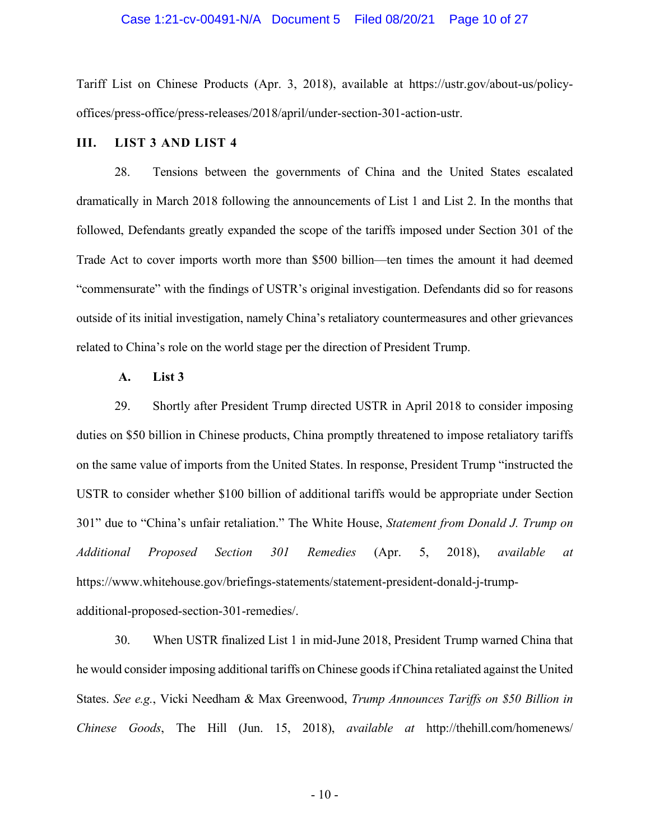#### Case 1:21-cv-00491-N/A Document 5 Filed 08/20/21 Page 10 of 27

Tariff List on Chinese Products (Apr. 3, 2018), available at https://ustr.gov/about-us/policyoffices/press-office/press-releases/2018/april/under-section-301-action-ustr.

## **III. LIST 3 AND LIST 4**

28. Tensions between the governments of China and the United States escalated dramatically in March 2018 following the announcements of List 1 and List 2. In the months that followed, Defendants greatly expanded the scope of the tariffs imposed under Section 301 of the Trade Act to cover imports worth more than \$500 billion—ten times the amount it had deemed "commensurate" with the findings of USTR's original investigation. Defendants did so for reasons outside of its initial investigation, namely China's retaliatory countermeasures and other grievances related to China's role on the world stage per the direction of President Trump.

#### **A. List 3**

29. Shortly after President Trump directed USTR in April 2018 to consider imposing duties on \$50 billion in Chinese products, China promptly threatened to impose retaliatory tariffs on the same value of imports from the United States. In response, President Trump "instructed the USTR to consider whether \$100 billion of additional tariffs would be appropriate under Section 301" due to "China's unfair retaliation." The White House, *Statement from Donald J. Trump on Additional Proposed Section 301 Remedies* (Apr. 5, 2018), *available at*  https://www.whitehouse.gov/briefings-statements/statement-president-donald-j-trumpadditional-proposed-section-301-remedies/.

30. When USTR finalized List 1 in mid-June 2018, President Trump warned China that he would consider imposing additional tariffs on Chinese goods if China retaliated against the United States. *See e.g.*, Vicki Needham & Max Greenwood, *Trump Announces Tariffs on \$50 Billion in Chinese Goods*, The Hill (Jun. 15, 2018), *available at* http://thehill.com/homenews/

 $-10-$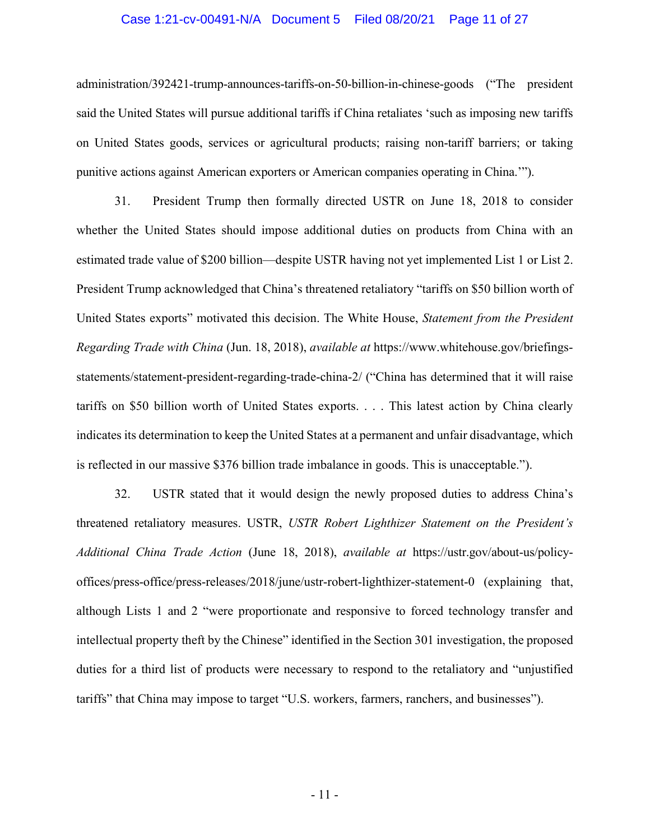### Case 1:21-cv-00491-N/A Document 5 Filed 08/20/21 Page 11 of 27

administration/392421-trump-announces-tariffs-on-50-billion-in-chinese-goods ("The president said the United States will pursue additional tariffs if China retaliates 'such as imposing new tariffs on United States goods, services or agricultural products; raising non-tariff barriers; or taking punitive actions against American exporters or American companies operating in China.'").

31. President Trump then formally directed USTR on June 18, 2018 to consider whether the United States should impose additional duties on products from China with an estimated trade value of \$200 billion—despite USTR having not yet implemented List 1 or List 2. President Trump acknowledged that China's threatened retaliatory "tariffs on \$50 billion worth of United States exports" motivated this decision. The White House, *Statement from the President Regarding Trade with China* (Jun. 18, 2018), *available at* https://www.whitehouse.gov/briefingsstatements/statement-president-regarding-trade-china-2/ ("China has determined that it will raise tariffs on \$50 billion worth of United States exports. . . . This latest action by China clearly indicates its determination to keep the United States at a permanent and unfair disadvantage, which is reflected in our massive \$376 billion trade imbalance in goods. This is unacceptable.").

32. USTR stated that it would design the newly proposed duties to address China's threatened retaliatory measures. USTR, *USTR Robert Lighthizer Statement on the President's Additional China Trade Action* (June 18, 2018), *available at* https://ustr.gov/about-us/policyoffices/press-office/press-releases/2018/june/ustr-robert-lighthizer-statement-0 (explaining that, although Lists 1 and 2 "were proportionate and responsive to forced technology transfer and intellectual property theft by the Chinese" identified in the Section 301 investigation, the proposed duties for a third list of products were necessary to respond to the retaliatory and "unjustified tariffs" that China may impose to target "U.S. workers, farmers, ranchers, and businesses").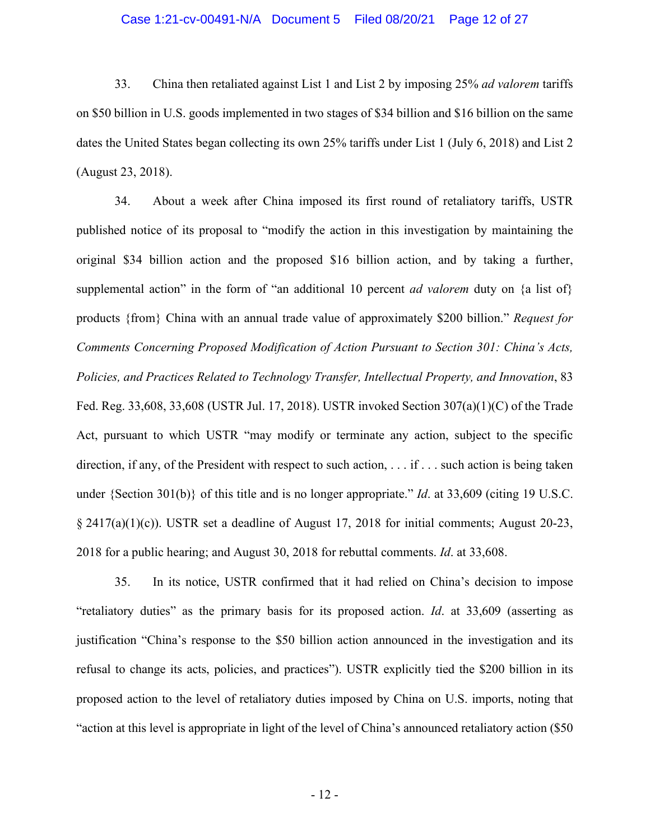# Case 1:21-cv-00491-N/A Document 5 Filed 08/20/21 Page 12 of 27

33. China then retaliated against List 1 and List 2 by imposing 25% *ad valorem* tariffs on \$50 billion in U.S. goods implemented in two stages of \$34 billion and \$16 billion on the same dates the United States began collecting its own 25% tariffs under List 1 (July 6, 2018) and List 2 (August 23, 2018).

34. About a week after China imposed its first round of retaliatory tariffs, USTR published notice of its proposal to "modify the action in this investigation by maintaining the original \$34 billion action and the proposed \$16 billion action, and by taking a further, supplemental action" in the form of "an additional 10 percent *ad valorem* duty on {a list of} products {from} China with an annual trade value of approximately \$200 billion." *Request for Comments Concerning Proposed Modification of Action Pursuant to Section 301: China's Acts, Policies, and Practices Related to Technology Transfer, Intellectual Property, and Innovation*, 83 Fed. Reg. 33,608, 33,608 (USTR Jul. 17, 2018). USTR invoked Section 307(a)(1)(C) of the Trade Act, pursuant to which USTR "may modify or terminate any action, subject to the specific direction, if any, of the President with respect to such action, . . . if . . . such action is being taken under {Section 301(b)} of this title and is no longer appropriate." *Id*. at 33,609 (citing 19 U.S.C.  $\S 2417(a)(1)(c)$ ). USTR set a deadline of August 17, 2018 for initial comments; August 20-23, 2018 for a public hearing; and August 30, 2018 for rebuttal comments. *Id*. at 33,608.

35. In its notice, USTR confirmed that it had relied on China's decision to impose "retaliatory duties" as the primary basis for its proposed action. *Id*. at 33,609 (asserting as justification "China's response to the \$50 billion action announced in the investigation and its refusal to change its acts, policies, and practices"). USTR explicitly tied the \$200 billion in its proposed action to the level of retaliatory duties imposed by China on U.S. imports, noting that "action at this level is appropriate in light of the level of China's announced retaliatory action (\$50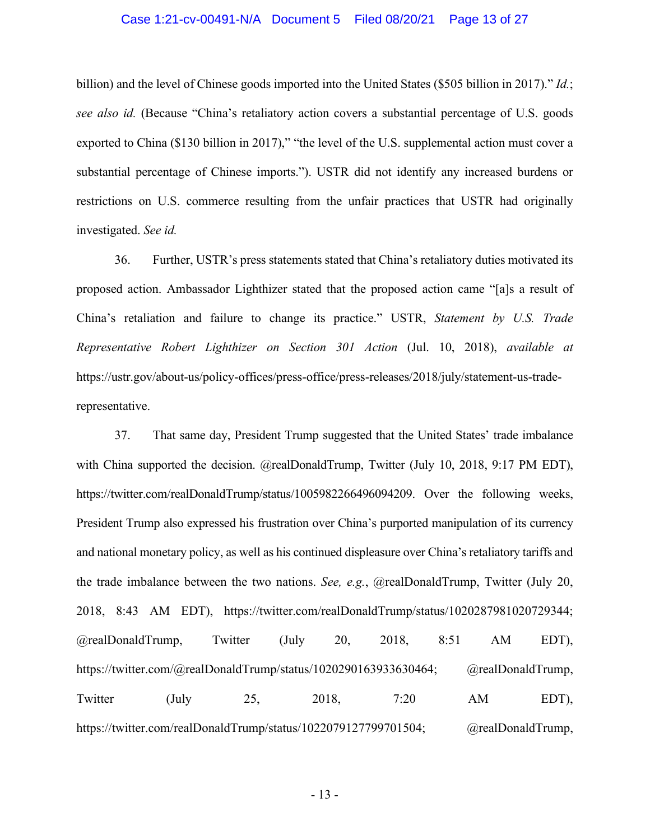## Case 1:21-cv-00491-N/A Document 5 Filed 08/20/21 Page 13 of 27

billion) and the level of Chinese goods imported into the United States (\$505 billion in 2017)." *Id.*; *see also id.* (Because "China's retaliatory action covers a substantial percentage of U.S. goods exported to China (\$130 billion in 2017)," "the level of the U.S. supplemental action must cover a substantial percentage of Chinese imports."). USTR did not identify any increased burdens or restrictions on U.S. commerce resulting from the unfair practices that USTR had originally investigated. *See id.*

36. Further, USTR's press statements stated that China's retaliatory duties motivated its proposed action. Ambassador Lighthizer stated that the proposed action came "[a]s a result of China's retaliation and failure to change its practice." USTR, *Statement by U.S. Trade Representative Robert Lighthizer on Section 301 Action* (Jul. 10, 2018), *available at*  https://ustr.gov/about-us/policy-offices/press-office/press-releases/2018/july/statement-us-traderepresentative.

37. That same day, President Trump suggested that the United States' trade imbalance with China supported the decision. @realDonaldTrump, Twitter (July 10, 2018, 9:17 PM EDT), https://twitter.com/realDonaldTrump/status/1005982266496094209. Over the following weeks, President Trump also expressed his frustration over China's purported manipulation of its currency and national monetary policy, as well as his continued displeasure over China's retaliatory tariffs and the trade imbalance between the two nations. *See, e.g.*, @realDonaldTrump, Twitter (July 20, 2018, 8:43 AM EDT), https://twitter.com/realDonaldTrump/status/1020287981020729344; @realDonaldTrump, Twitter (July 20, 2018, 8:51 AM EDT), https://twitter.com/@realDonaldTrump/status/1020290163933630464; @realDonaldTrump, Twitter (July 25, 2018, 7:20 AM EDT), https://twitter.com/realDonaldTrump/status/1022079127799701504; @realDonaldTrump,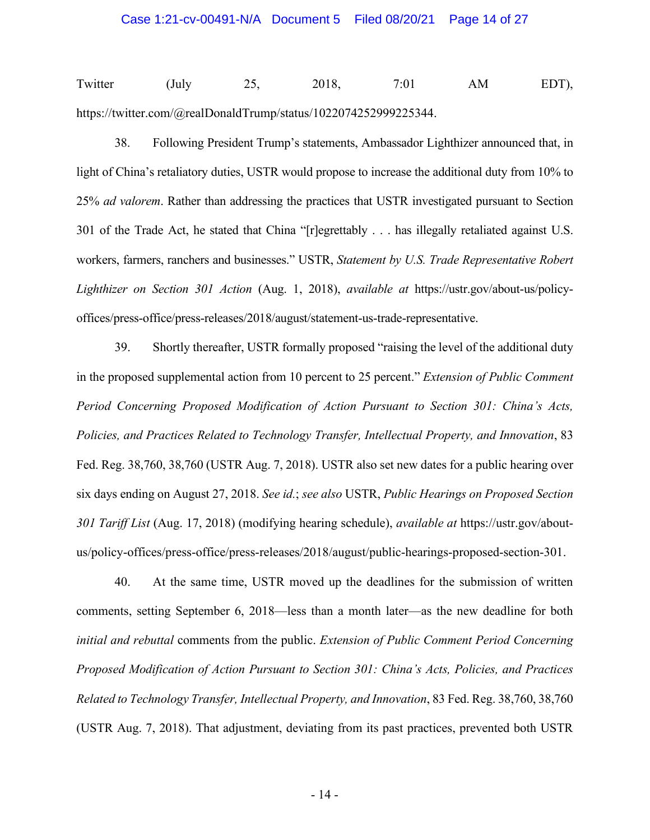Twitter (July 25, 2018, 7:01 AM EDT), https://twitter.com/@realDonaldTrump/status/1022074252999225344.

38. Following President Trump's statements, Ambassador Lighthizer announced that, in light of China's retaliatory duties, USTR would propose to increase the additional duty from 10% to 25% *ad valorem*. Rather than addressing the practices that USTR investigated pursuant to Section 301 of the Trade Act, he stated that China "[r]egrettably . . . has illegally retaliated against U.S. workers, farmers, ranchers and businesses." USTR, *Statement by U.S. Trade Representative Robert Lighthizer on Section 301 Action* (Aug. 1, 2018), *available at* https://ustr.gov/about-us/policyoffices/press-office/press-releases/2018/august/statement-us-trade-representative.

39. Shortly thereafter, USTR formally proposed "raising the level of the additional duty in the proposed supplemental action from 10 percent to 25 percent." *Extension of Public Comment Period Concerning Proposed Modification of Action Pursuant to Section 301: China's Acts, Policies, and Practices Related to Technology Transfer, Intellectual Property, and Innovation*, 83 Fed. Reg. 38,760, 38,760 (USTR Aug. 7, 2018). USTR also set new dates for a public hearing over six days ending on August 27, 2018. *See id.*; *see also* USTR, *Public Hearings on Proposed Section 301 Tariff List* (Aug. 17, 2018) (modifying hearing schedule), *available at* https://ustr.gov/aboutus/policy-offices/press-office/press-releases/2018/august/public-hearings-proposed-section-301.

40. At the same time, USTR moved up the deadlines for the submission of written comments, setting September 6, 2018—less than a month later—as the new deadline for both *initial and rebuttal* comments from the public. *Extension of Public Comment Period Concerning Proposed Modification of Action Pursuant to Section 301: China's Acts, Policies, and Practices Related to Technology Transfer, Intellectual Property, and Innovation*, 83 Fed. Reg. 38,760, 38,760 (USTR Aug. 7, 2018). That adjustment, deviating from its past practices, prevented both USTR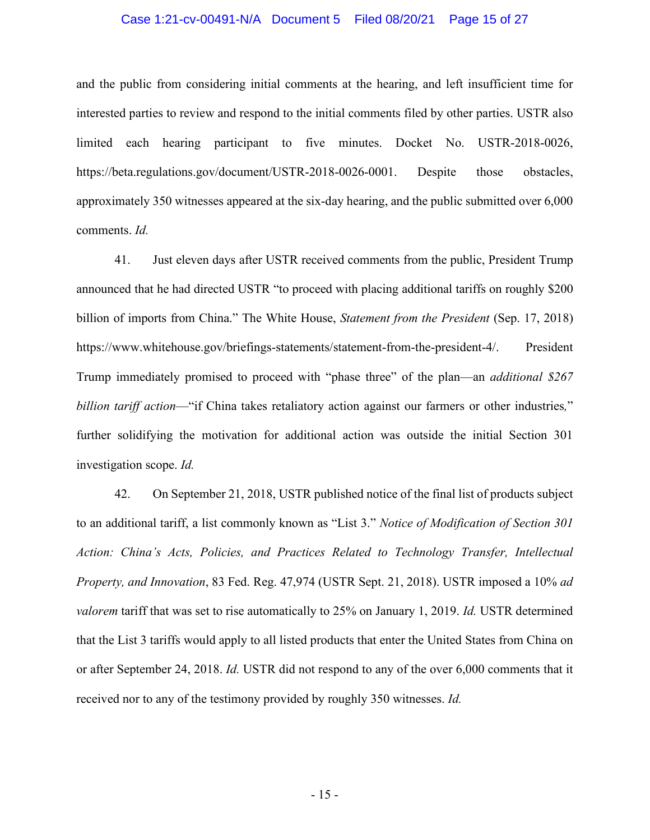## Case 1:21-cv-00491-N/A Document 5 Filed 08/20/21 Page 15 of 27

and the public from considering initial comments at the hearing, and left insufficient time for interested parties to review and respond to the initial comments filed by other parties. USTR also limited each hearing participant to five minutes. Docket No. USTR-2018-0026, https://beta.regulations.gov/document/USTR-2018-0026-0001. Despite those obstacles, approximately 350 witnesses appeared at the six-day hearing, and the public submitted over 6,000 comments. *Id.* 

41. Just eleven days after USTR received comments from the public, President Trump announced that he had directed USTR "to proceed with placing additional tariffs on roughly \$200 billion of imports from China." The White House, *Statement from the President* (Sep. 17, 2018) https://www.whitehouse.gov/briefings-statements/statement-from-the-president-4/. President Trump immediately promised to proceed with "phase three" of the plan—an *additional \$267 billion tariff action*—"if China takes retaliatory action against our farmers or other industries*,*" further solidifying the motivation for additional action was outside the initial Section 301 investigation scope. *Id.*

42. On September 21, 2018, USTR published notice of the final list of products subject to an additional tariff, a list commonly known as "List 3." *Notice of Modification of Section 301 Action: China's Acts, Policies, and Practices Related to Technology Transfer, Intellectual Property, and Innovation*, 83 Fed. Reg. 47,974 (USTR Sept. 21, 2018). USTR imposed a 10% *ad valorem* tariff that was set to rise automatically to 25% on January 1, 2019. *Id.* USTR determined that the List 3 tariffs would apply to all listed products that enter the United States from China on or after September 24, 2018. *Id.* USTR did not respond to any of the over 6,000 comments that it received nor to any of the testimony provided by roughly 350 witnesses. *Id.*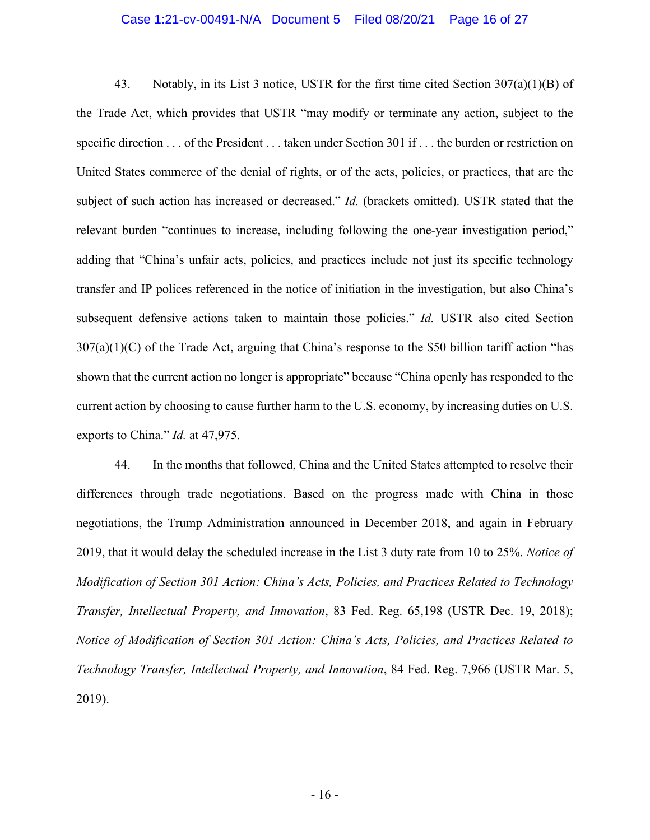## Case 1:21-cv-00491-N/A Document 5 Filed 08/20/21 Page 16 of 27

43. Notably, in its List 3 notice, USTR for the first time cited Section  $307(a)(1)(B)$  of the Trade Act, which provides that USTR "may modify or terminate any action, subject to the specific direction . . . of the President . . . taken under Section 301 if . . . the burden or restriction on United States commerce of the denial of rights, or of the acts, policies, or practices, that are the subject of such action has increased or decreased." *Id.* (brackets omitted). USTR stated that the relevant burden "continues to increase, including following the one-year investigation period," adding that "China's unfair acts, policies, and practices include not just its specific technology transfer and IP polices referenced in the notice of initiation in the investigation, but also China's subsequent defensive actions taken to maintain those policies." *Id.* USTR also cited Section  $307(a)(1)(C)$  of the Trade Act, arguing that China's response to the \$50 billion tariff action "has shown that the current action no longer is appropriate" because "China openly has responded to the current action by choosing to cause further harm to the U.S. economy, by increasing duties on U.S. exports to China." *Id.* at 47,975.

44. In the months that followed, China and the United States attempted to resolve their differences through trade negotiations. Based on the progress made with China in those negotiations, the Trump Administration announced in December 2018, and again in February 2019, that it would delay the scheduled increase in the List 3 duty rate from 10 to 25%. *Notice of Modification of Section 301 Action: China's Acts, Policies, and Practices Related to Technology Transfer, Intellectual Property, and Innovation*, 83 Fed. Reg. 65,198 (USTR Dec. 19, 2018); *Notice of Modification of Section 301 Action: China's Acts, Policies, and Practices Related to Technology Transfer, Intellectual Property, and Innovation*, 84 Fed. Reg. 7,966 (USTR Mar. 5, 2019).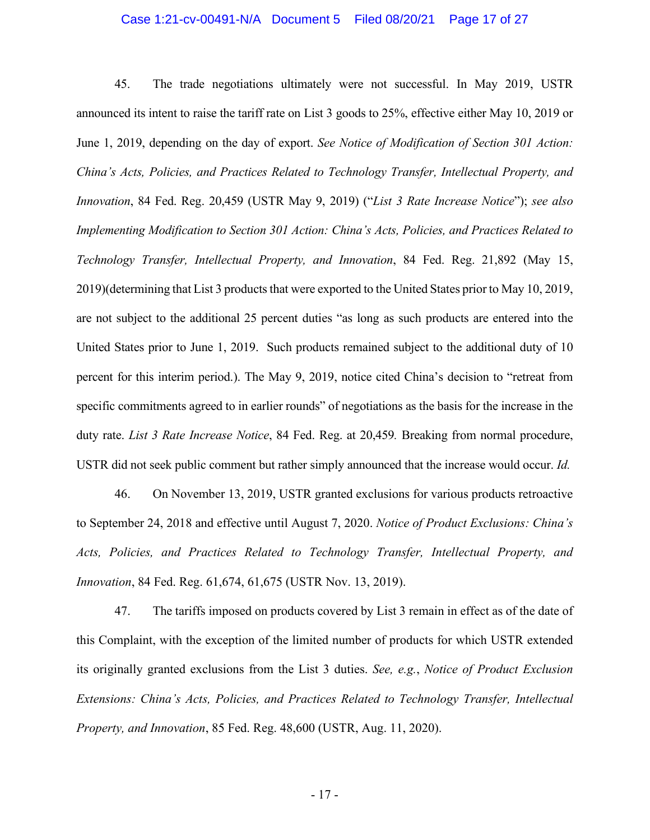## Case 1:21-cv-00491-N/A Document 5 Filed 08/20/21 Page 17 of 27

45. The trade negotiations ultimately were not successful. In May 2019, USTR announced its intent to raise the tariff rate on List 3 goods to 25%, effective either May 10, 2019 or June 1, 2019, depending on the day of export. *See Notice of Modification of Section 301 Action: China's Acts, Policies, and Practices Related to Technology Transfer, Intellectual Property, and Innovation*, 84 Fed. Reg. 20,459 (USTR May 9, 2019) ("*List 3 Rate Increase Notice*"); *see also Implementing Modification to Section 301 Action: China's Acts, Policies, and Practices Related to Technology Transfer, Intellectual Property, and Innovation*, 84 Fed. Reg. 21,892 (May 15, 2019)(determining that List 3 products that were exported to the United States prior to May 10, 2019, are not subject to the additional 25 percent duties "as long as such products are entered into the United States prior to June 1, 2019. Such products remained subject to the additional duty of 10 percent for this interim period.). The May 9, 2019, notice cited China's decision to "retreat from specific commitments agreed to in earlier rounds" of negotiations as the basis for the increase in the duty rate. *List 3 Rate Increase Notice*, 84 Fed. Reg. at 20,459*.* Breaking from normal procedure, USTR did not seek public comment but rather simply announced that the increase would occur. *Id.*

46. On November 13, 2019, USTR granted exclusions for various products retroactive to September 24, 2018 and effective until August 7, 2020. *Notice of Product Exclusions: China's Acts, Policies, and Practices Related to Technology Transfer, Intellectual Property, and Innovation*, 84 Fed. Reg. 61,674, 61,675 (USTR Nov. 13, 2019).

47. The tariffs imposed on products covered by List 3 remain in effect as of the date of this Complaint, with the exception of the limited number of products for which USTR extended its originally granted exclusions from the List 3 duties. *See, e.g.*, *Notice of Product Exclusion Extensions: China's Acts, Policies, and Practices Related to Technology Transfer, Intellectual Property, and Innovation*, 85 Fed. Reg. 48,600 (USTR, Aug. 11, 2020).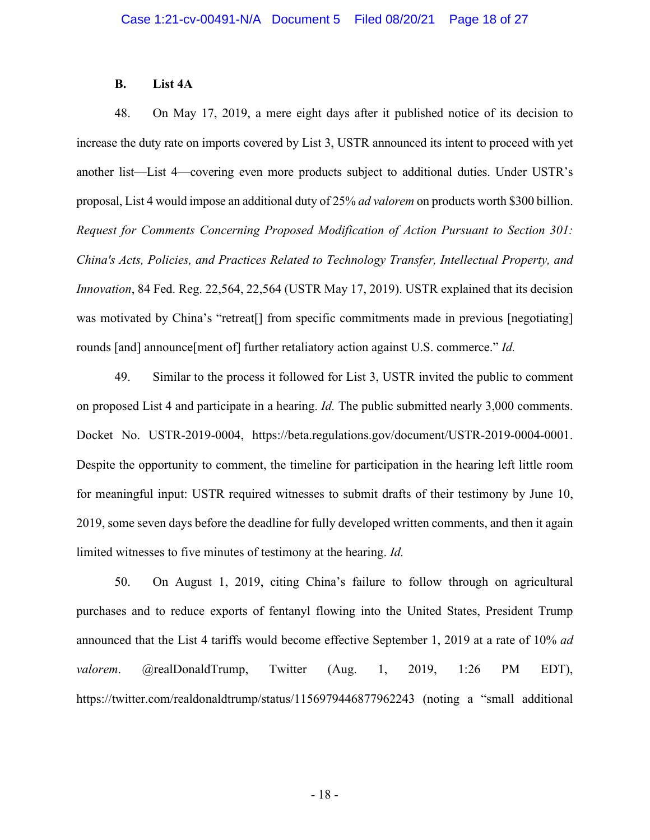#### **B. List 4A**

48. On May 17, 2019, a mere eight days after it published notice of its decision to increase the duty rate on imports covered by List 3, USTR announced its intent to proceed with yet another list—List 4—covering even more products subject to additional duties. Under USTR's proposal, List 4 would impose an additional duty of 25% *ad valorem* on products worth \$300 billion. *Request for Comments Concerning Proposed Modification of Action Pursuant to Section 301: China's Acts, Policies, and Practices Related to Technology Transfer, Intellectual Property, and Innovation*, 84 Fed. Reg. 22,564, 22,564 (USTR May 17, 2019). USTR explained that its decision was motivated by China's "retreat<sup>[]</sup> from specific commitments made in previous [negotiating] rounds [and] announce[ment of] further retaliatory action against U.S. commerce." *Id.*

49. Similar to the process it followed for List 3, USTR invited the public to comment on proposed List 4 and participate in a hearing. *Id.* The public submitted nearly 3,000 comments. Docket No. USTR-2019-0004, https://beta.regulations.gov/document/USTR-2019-0004-0001. Despite the opportunity to comment, the timeline for participation in the hearing left little room for meaningful input: USTR required witnesses to submit drafts of their testimony by June 10, 2019, some seven days before the deadline for fully developed written comments, and then it again limited witnesses to five minutes of testimony at the hearing. *Id.*

50. On August 1, 2019, citing China's failure to follow through on agricultural purchases and to reduce exports of fentanyl flowing into the United States, President Trump announced that the List 4 tariffs would become effective September 1, 2019 at a rate of 10% *ad valorem*. @realDonaldTrump, Twitter (Aug. 1, 2019, 1:26 PM EDT), https://twitter.com/realdonaldtrump/status/1156979446877962243 (noting a "small additional

- 18 -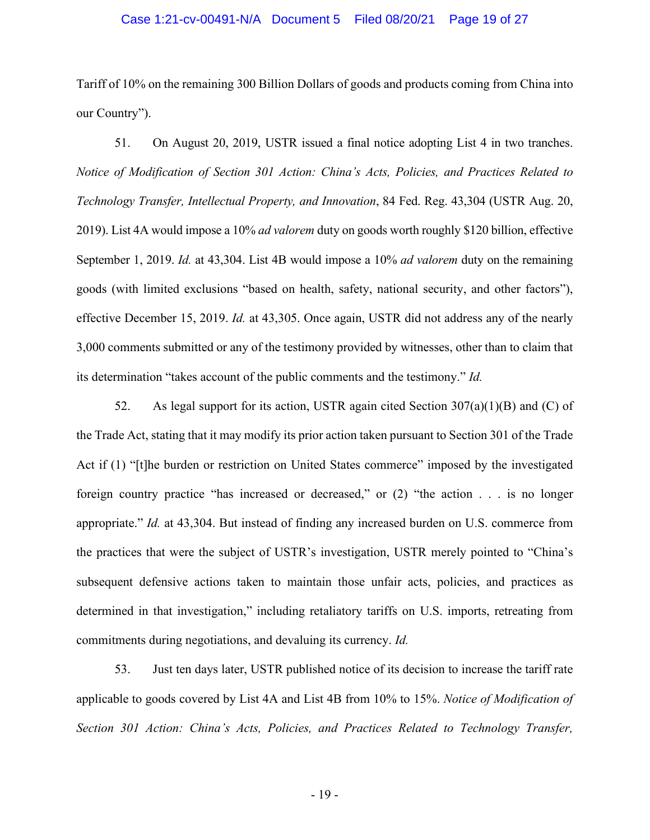## Case 1:21-cv-00491-N/A Document 5 Filed 08/20/21 Page 19 of 27

Tariff of 10% on the remaining 300 Billion Dollars of goods and products coming from China into our Country").

51. On August 20, 2019, USTR issued a final notice adopting List 4 in two tranches. *Notice of Modification of Section 301 Action: China's Acts, Policies, and Practices Related to Technology Transfer, Intellectual Property, and Innovation*, 84 Fed. Reg. 43,304 (USTR Aug. 20, 2019). List 4A would impose a 10% *ad valorem* duty on goods worth roughly \$120 billion, effective September 1, 2019. *Id.* at 43,304. List 4B would impose a 10% *ad valorem* duty on the remaining goods (with limited exclusions "based on health, safety, national security, and other factors"), effective December 15, 2019. *Id.* at 43,305. Once again, USTR did not address any of the nearly 3,000 comments submitted or any of the testimony provided by witnesses, other than to claim that its determination "takes account of the public comments and the testimony." *Id.*

52. As legal support for its action, USTR again cited Section  $307(a)(1)(B)$  and (C) of the Trade Act, stating that it may modify its prior action taken pursuant to Section 301 of the Trade Act if (1) "[t]he burden or restriction on United States commerce" imposed by the investigated foreign country practice "has increased or decreased," or (2) "the action . . . is no longer appropriate." *Id.* at 43,304. But instead of finding any increased burden on U.S. commerce from the practices that were the subject of USTR's investigation, USTR merely pointed to "China's subsequent defensive actions taken to maintain those unfair acts, policies, and practices as determined in that investigation," including retaliatory tariffs on U.S. imports, retreating from commitments during negotiations, and devaluing its currency. *Id.*

53. Just ten days later, USTR published notice of its decision to increase the tariff rate applicable to goods covered by List 4A and List 4B from 10% to 15%. *Notice of Modification of Section 301 Action: China's Acts, Policies, and Practices Related to Technology Transfer,*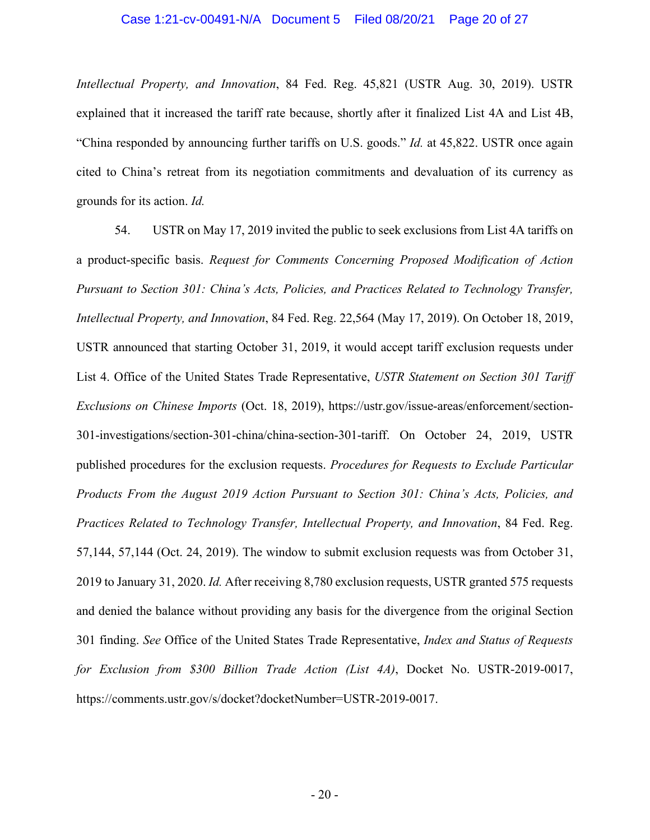## Case 1:21-cv-00491-N/A Document 5 Filed 08/20/21 Page 20 of 27

*Intellectual Property, and Innovation*, 84 Fed. Reg. 45,821 (USTR Aug. 30, 2019). USTR explained that it increased the tariff rate because, shortly after it finalized List 4A and List 4B, "China responded by announcing further tariffs on U.S. goods." *Id.* at 45,822. USTR once again cited to China's retreat from its negotiation commitments and devaluation of its currency as grounds for its action. *Id.*

54. USTR on May 17, 2019 invited the public to seek exclusions from List 4A tariffs on a product-specific basis. *Request for Comments Concerning Proposed Modification of Action Pursuant to Section 301: China's Acts, Policies, and Practices Related to Technology Transfer, Intellectual Property, and Innovation*, 84 Fed. Reg. 22,564 (May 17, 2019). On October 18, 2019, USTR announced that starting October 31, 2019, it would accept tariff exclusion requests under List 4. Office of the United States Trade Representative, *USTR Statement on Section 301 Tariff Exclusions on Chinese Imports* (Oct. 18, 2019), https://ustr.gov/issue-areas/enforcement/section-301-investigations/section-301-china/china-section-301-tariff. On October 24, 2019, USTR published procedures for the exclusion requests. *Procedures for Requests to Exclude Particular Products From the August 2019 Action Pursuant to Section 301: China's Acts, Policies, and Practices Related to Technology Transfer, Intellectual Property, and Innovation*, 84 Fed. Reg. 57,144, 57,144 (Oct. 24, 2019). The window to submit exclusion requests was from October 31, 2019 to January 31, 2020. *Id.* After receiving 8,780 exclusion requests, USTR granted 575 requests and denied the balance without providing any basis for the divergence from the original Section 301 finding. *See* Office of the United States Trade Representative, *Index and Status of Requests for Exclusion from \$300 Billion Trade Action (List 4A)*, Docket No. USTR-2019-0017, https://comments.ustr.gov/s/docket?docketNumber=USTR-2019-0017.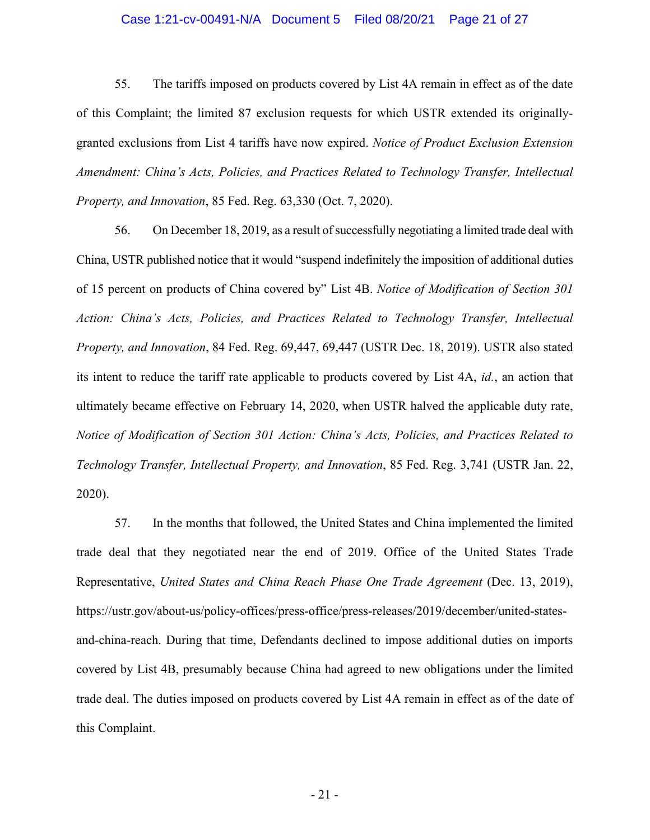## Case 1:21-cv-00491-N/A Document 5 Filed 08/20/21 Page 21 of 27

55. The tariffs imposed on products covered by List 4A remain in effect as of the date of this Complaint; the limited 87 exclusion requests for which USTR extended its originallygranted exclusions from List 4 tariffs have now expired. *Notice of Product Exclusion Extension Amendment: China's Acts, Policies, and Practices Related to Technology Transfer, Intellectual Property, and Innovation*, 85 Fed. Reg. 63,330 (Oct. 7, 2020).

56. On December 18, 2019, as a result of successfully negotiating a limited trade deal with China, USTR published notice that it would "suspend indefinitely the imposition of additional duties of 15 percent on products of China covered by" List 4B. *Notice of Modification of Section 301 Action: China's Acts, Policies, and Practices Related to Technology Transfer, Intellectual Property, and Innovation*, 84 Fed. Reg. 69,447, 69,447 (USTR Dec. 18, 2019). USTR also stated its intent to reduce the tariff rate applicable to products covered by List 4A, *id.*, an action that ultimately became effective on February 14, 2020, when USTR halved the applicable duty rate, *Notice of Modification of Section 301 Action: China's Acts, Policies, and Practices Related to Technology Transfer, Intellectual Property, and Innovation*, 85 Fed. Reg. 3,741 (USTR Jan. 22, 2020).

57. In the months that followed, the United States and China implemented the limited trade deal that they negotiated near the end of 2019. Office of the United States Trade Representative, *United States and China Reach Phase One Trade Agreement* (Dec. 13, 2019), [https://ustr.gov/about-us/policy-offices/press-office/press-releases/2019/december/united-states](https://ustr.gov/about-us/policy-offices/press-office/press-releases/2019/december/united-states-and-china-reach)[and-china-reach.](https://ustr.gov/about-us/policy-offices/press-office/press-releases/2019/december/united-states-and-china-reach) During that time, Defendants declined to impose additional duties on imports covered by List 4B, presumably because China had agreed to new obligations under the limited trade deal. The duties imposed on products covered by List 4A remain in effect as of the date of this Complaint.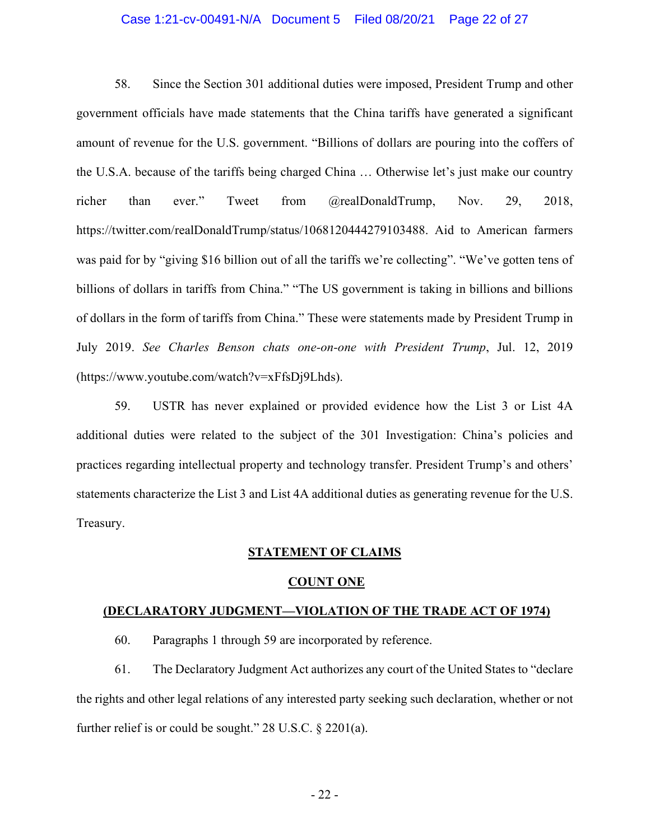## Case 1:21-cv-00491-N/A Document 5 Filed 08/20/21 Page 22 of 27

58. Since the Section 301 additional duties were imposed, President Trump and other government officials have made statements that the China tariffs have generated a significant amount of revenue for the U.S. government. "Billions of dollars are pouring into the coffers of the U.S.A. because of the tariffs being charged China … Otherwise let's just make our country richer than ever." Tweet from @realDonaldTrump, Nov. 29, 2018, https://twitter.com/realDonaldTrump/status/1068120444279103488. Aid to American farmers was paid for by "giving \$16 billion out of all the tariffs we're collecting". "We've gotten tens of billions of dollars in tariffs from China." "The US government is taking in billions and billions of dollars in the form of tariffs from China." These were statements made by President Trump in July 2019. *See Charles Benson chats one-on-one with President Trump*, Jul. 12, 2019 (https://www.youtube.com/watch?v=xFfsDj9Lhds).

59. USTR has never explained or provided evidence how the List 3 or List 4A additional duties were related to the subject of the 301 Investigation: China's policies and practices regarding intellectual property and technology transfer. President Trump's and others' statements characterize the List 3 and List 4A additional duties as generating revenue for the U.S. Treasury.

#### **STATEMENT OF CLAIMS**

#### **COUNT ONE**

#### **(DECLARATORY JUDGMENT—VIOLATION OF THE TRADE ACT OF 1974)**

60. Paragraphs 1 through 59 are incorporated by reference.

61. The Declaratory Judgment Act authorizes any court of the United States to "declare the rights and other legal relations of any interested party seeking such declaration, whether or not further relief is or could be sought." 28 U.S.C. § 2201(a).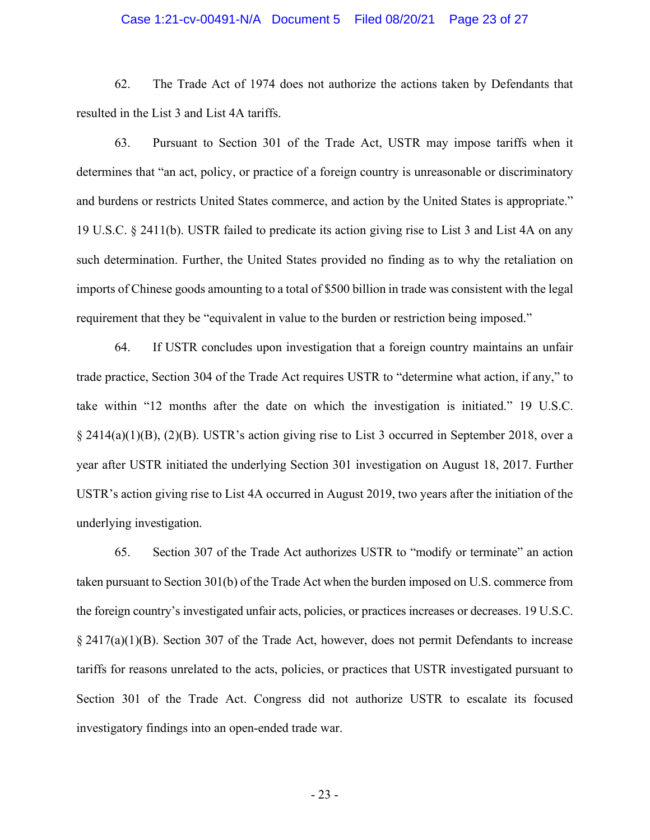## Case 1:21-cv-00491-N/A Document 5 Filed 08/20/21 Page 23 of 27

62. The Trade Act of 1974 does not authorize the actions taken by Defendants that resulted in the List 3 and List 4A tariffs.

63. Pursuant to Section 301 of the Trade Act, USTR may impose tariffs when it determines that "an act, policy, or practice of a foreign country is unreasonable or discriminatory and burdens or restricts United States commerce, and action by the United States is appropriate." 19 U.S.C. § 2411(b). USTR failed to predicate its action giving rise to List 3 and List 4A on any such determination. Further, the United States provided no finding as to why the retaliation on imports of Chinese goods amounting to a total of \$500 billion in trade was consistent with the legal requirement that they be "equivalent in value to the burden or restriction being imposed."

64. If USTR concludes upon investigation that a foreign country maintains an unfair trade practice, Section 304 of the Trade Act requires USTR to "determine what action, if any," to take within "12 months after the date on which the investigation is initiated." 19 U.S.C. § 2414(a)(1)(B), (2)(B). USTR's action giving rise to List 3 occurred in September 2018, over a year after USTR initiated the underlying Section 301 investigation on August 18, 2017. Further USTR's action giving rise to List 4A occurred in August 2019, two years after the initiation of the underlying investigation.

65. Section 307 of the Trade Act authorizes USTR to "modify or terminate" an action taken pursuant to Section 301(b) of the Trade Act when the burden imposed on U.S. commerce from the foreign country's investigated unfair acts, policies, or practices increases or decreases. 19 U.S.C. § 2417(a)(1)(B). Section 307 of the Trade Act, however, does not permit Defendants to increase tariffs for reasons unrelated to the acts, policies, or practices that USTR investigated pursuant to Section 301 of the Trade Act. Congress did not authorize USTR to escalate its focused investigatory findings into an open-ended trade war.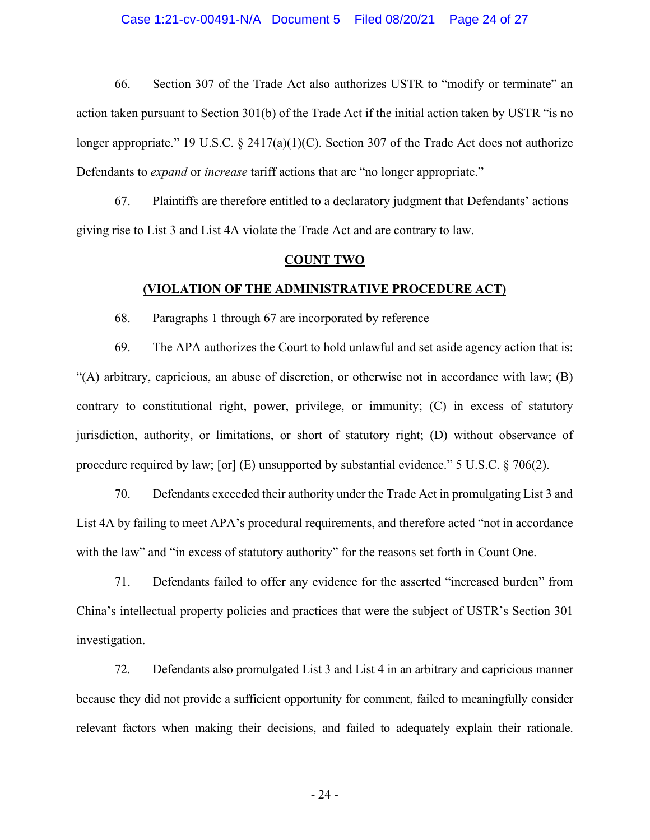66. Section 307 of the Trade Act also authorizes USTR to "modify or terminate" an action taken pursuant to Section 301(b) of the Trade Act if the initial action taken by USTR "is no longer appropriate." 19 U.S.C. § 2417(a)(1)(C). Section 307 of the Trade Act does not authorize Defendants to *expand* or *increase* tariff actions that are "no longer appropriate."

67. Plaintiffs are therefore entitled to a declaratory judgment that Defendants' actions giving rise to List 3 and List 4A violate the Trade Act and are contrary to law.

#### **COUNT TWO**

## **(VIOLATION OF THE ADMINISTRATIVE PROCEDURE ACT)**

68. Paragraphs 1 through 67 are incorporated by reference

69. The APA authorizes the Court to hold unlawful and set aside agency action that is: "(A) arbitrary, capricious, an abuse of discretion, or otherwise not in accordance with law; (B) contrary to constitutional right, power, privilege, or immunity; (C) in excess of statutory jurisdiction, authority, or limitations, or short of statutory right; (D) without observance of procedure required by law; [or] (E) unsupported by substantial evidence." 5 U.S.C.  $\S$  706(2).

70. Defendants exceeded their authority under the Trade Act in promulgating List 3 and List 4A by failing to meet APA's procedural requirements, and therefore acted "not in accordance with the law" and "in excess of statutory authority" for the reasons set forth in Count One.

71. Defendants failed to offer any evidence for the asserted "increased burden" from China's intellectual property policies and practices that were the subject of USTR's Section 301 investigation.

72. Defendants also promulgated List 3 and List 4 in an arbitrary and capricious manner because they did not provide a sufficient opportunity for comment, failed to meaningfully consider relevant factors when making their decisions, and failed to adequately explain their rationale.

- 24 -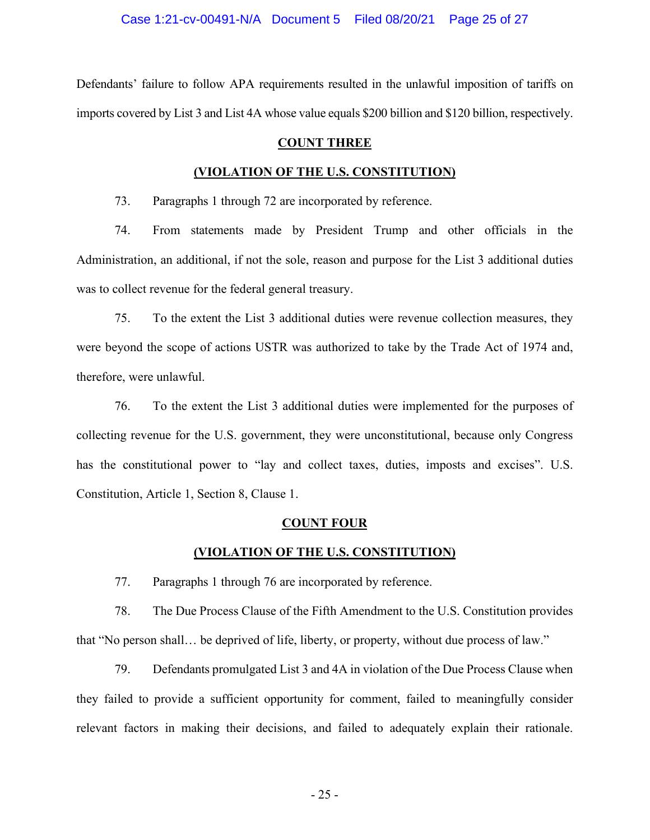Defendants' failure to follow APA requirements resulted in the unlawful imposition of tariffs on imports covered by List 3 and List 4A whose value equals \$200 billion and \$120 billion, respectively.

# **COUNT THREE**

## **(VIOLATION OF THE U.S. CONSTITUTION)**

73. Paragraphs 1 through 72 are incorporated by reference.

74. From statements made by President Trump and other officials in the Administration, an additional, if not the sole, reason and purpose for the List 3 additional duties was to collect revenue for the federal general treasury.

75. To the extent the List 3 additional duties were revenue collection measures, they were beyond the scope of actions USTR was authorized to take by the Trade Act of 1974 and, therefore, were unlawful.

76. To the extent the List 3 additional duties were implemented for the purposes of collecting revenue for the U.S. government, they were unconstitutional, because only Congress has the constitutional power to "lay and collect taxes, duties, imposts and excises". U.S. Constitution, Article 1, Section 8, Clause 1.

#### **COUNT FOUR**

#### **(VIOLATION OF THE U.S. CONSTITUTION)**

77. Paragraphs 1 through 76 are incorporated by reference.

78. The Due Process Clause of the Fifth Amendment to the U.S. Constitution provides that "No person shall… be deprived of life, liberty, or property, without due process of law."

79. Defendants promulgated List 3 and 4A in violation of the Due Process Clause when they failed to provide a sufficient opportunity for comment, failed to meaningfully consider relevant factors in making their decisions, and failed to adequately explain their rationale.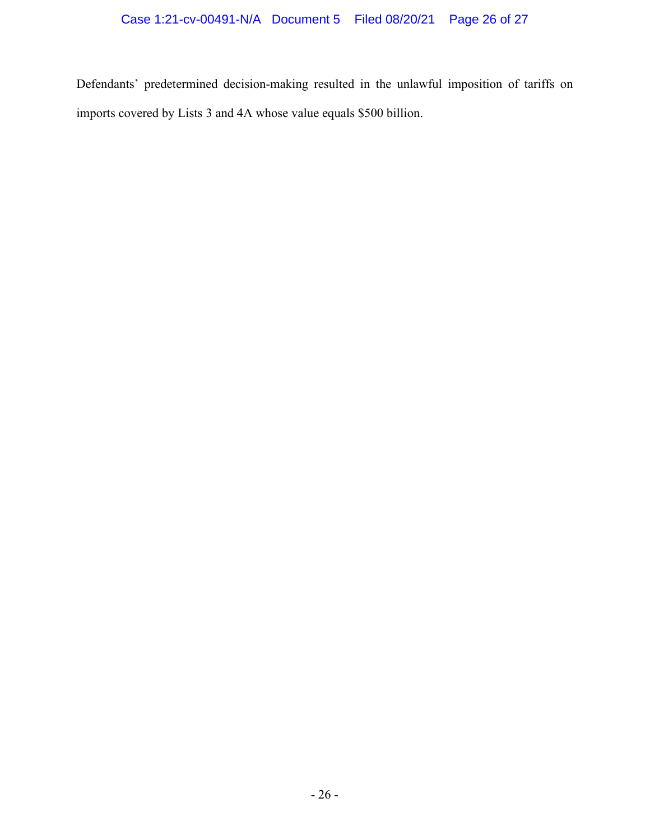Defendants' predetermined decision-making resulted in the unlawful imposition of tariffs on imports covered by Lists 3 and 4A whose value equals \$500 billion.